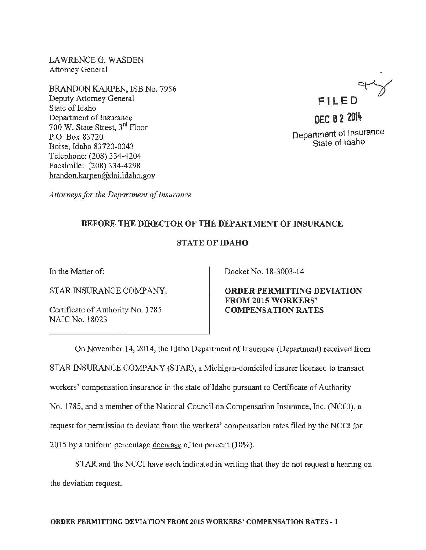LAWRENCE G. WASDEN Attorney General

BRANDON KARPEN, ISB No. 7956 Deputy Attorney General State of Idaho Department of Insurance 700 W. State Street, 3rd Floor P.O. Box 83720 Boise, Idaho 83 720-0043 Telephone: (208) 334-4204 Facsimile: (208) 334-4298 brandon.kamen@doi.idaho.gov



Department of Insurance State of Idaho

*Attorneys for the Department of Insurance* 

## BEFORE THE DIRECTOR OF THE DEPARTMENT OF INSURANCE

## STATE OF IDAHO

In the Matter of:

STAR INSURANCE COMPANY,

Certificate of Authority No. 1785 NAIC No. 18023

Docket No. 18-3003-14

ORDER PERMITTING DEVIATION FROM 2015 WORKERS' COMPENSATION RATES

On November 14, 2014, the Idaho Department of Insurance (Department) received from STAR INSURANCE COMPANY (STAR), a Michigan-domiciled insurer licensed to transact workers' compensation insurance in the state of Idaho pursuant to Certificate of Authority No. 1785, and a member of the National Council on Compensation Insurance, Inc. (NCCI), a request for permission to deviate from the workers' compensation rates filed by the NCCI for 2015 by a uniform percentage decrease of ten percent (10%).

STAR and the NCCI have each indicated in writing that they do not request a hearing on the deviation request.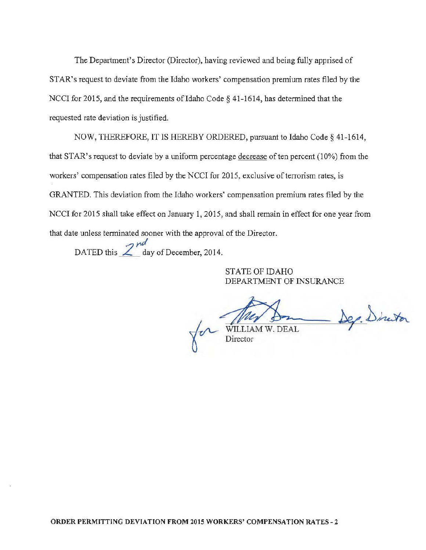The Department's Director (Director), having reviewed and being fully apprised of STAR's request to deviate from the Idaho workers' compensation premium rates filed by the NCCI for 2015, and the requirements of Idaho Code § 41-1614, has determined that the requested rate deviation is justified.

NOW, THEREFORE, IT IS HEREBY ORDERED, pursuant to Idaho Code§ 41-1614, that STAR's request to deviate by a uniform percentage decrease of ten percent  $(10\%)$  from the workers' compensation rates filed by the NCCI for 2015, exclusive of terrorism rates, is GRANTED. This deviation from the Idaho workers' compensation premium rates filed by the NCCI for 2015 shall take effect on January 1, 2015, and shall remain in effect for one year from that date unless terminated sooner with the approval of the Director.

DATED this  $\frac{2^{nd}}{2^{nd}}$  day of December, 2014.

STATE OF IDAHO DEPARTMENT OF INSURANCE

on WILLIAM W. DEAL Director